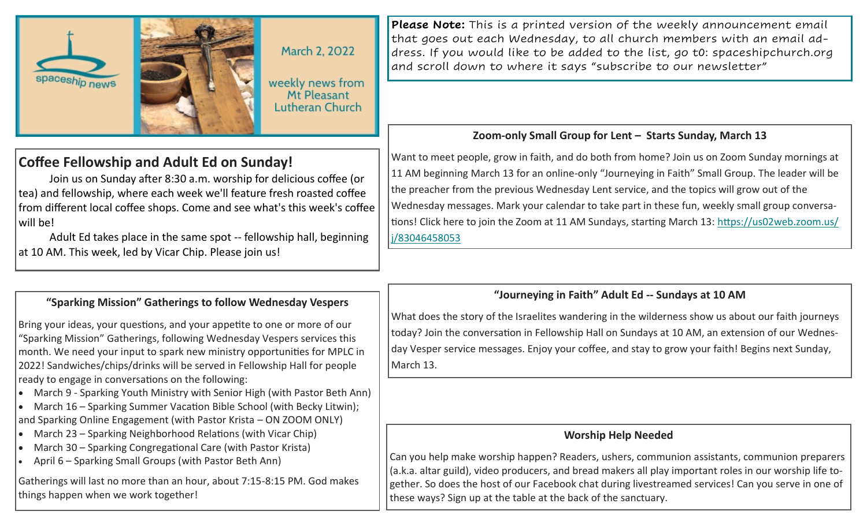

March 2, 2022

weekly news from Mt Pleasant **Lutheran Church** 

# **Coffee Fellowship and Adult Ed on Sunday!**

Join us on Sunday after 8:30 a.m. worship for delicious coffee (or tea) and fellowship, where each week we'll feature fresh roasted coffee from different local coffee shops. Come and see what's this week's coffee will be!

Adult Ed takes place in the same spot -- fellowship hall, beginning at 10 AM. This week, led by Vicar Chip. Please join us!

## **"Sparking Mission" Gatherings to follow Wednesday Vespers**

Bring your ideas, your questions, and your appetite to one or more of our "Sparking Mission" Gatherings, following Wednesday Vespers services this month. We need your input to spark new ministry opportunities for MPLC in 2022! Sandwiches/chips/drinks will be served in Fellowship Hall for people ready to engage in conversations on the following:

- March 9 Sparking Youth Ministry with Senior High (with Pastor Beth Ann)
- March 16 Sparking Summer Vacation Bible School (with Becky Litwin); and Sparking Online Engagement (with Pastor Krista – ON ZOOM ONLY)
- March 23 Sparking Neighborhood Relations (with Vicar Chip)
- March 30 Sparking Congregational Care (with Pastor Krista)
- April 6 Sparking Small Groups (with Pastor Beth Ann)

Gatherings will last no more than an hour, about 7:15-8:15 PM. God makes things happen when we work together!

**Please Note:** This is a printed version of the weekly announcement email that goes out each Wednesday, to all church members with an email address. If you would like to be added to the list, go t0: spaceshipchurch.org and scroll down to where it says "subscribe to our newsletter"

## **Zoom-only Small Group for Lent – Starts Sunday, March 13**

Want to meet people, grow in faith, and do both from home? Join us on Zoom Sunday mornings at 11 AM beginning March 13 for an online-only "Journeying in Faith" Small Group. The leader will be the preacher from the previous Wednesday Lent service, and the topics will grow out of the Wednesday messages. Mark your calendar to take part in these fun, weekly small group conversations! Click here to join the Zoom at 11 AM Sundays, starting March 13: [https://us02web.zoom.us/](https://mplc.us2.list-manage.com/track/click?u=5b64131707a409598badc8f68&id=0cc7c4d75c&e=898d2153a8) [j/83046458053](https://mplc.us2.list-manage.com/track/click?u=5b64131707a409598badc8f68&id=0cc7c4d75c&e=898d2153a8)

#### **"Journeying in Faith" Adult Ed -- Sundays at 10 AM**

What does the story of the Israelites wandering in the wilderness show us about our faith journeys today? Join the conversation in Fellowship Hall on Sundays at 10 AM, an extension of our Wednesday Vesper service messages. Enjoy your coffee, and stay to grow your faith! Begins next Sunday, March 13.

#### **Worship Help Needed**

Can you help make worship happen? Readers, ushers, communion assistants, communion preparers (a.k.a. altar guild), video producers, and bread makers all play important roles in our worship life together. So does the host of our Facebook chat during livestreamed services! Can you serve in one of these ways? Sign up at the table at the back of the sanctuary.